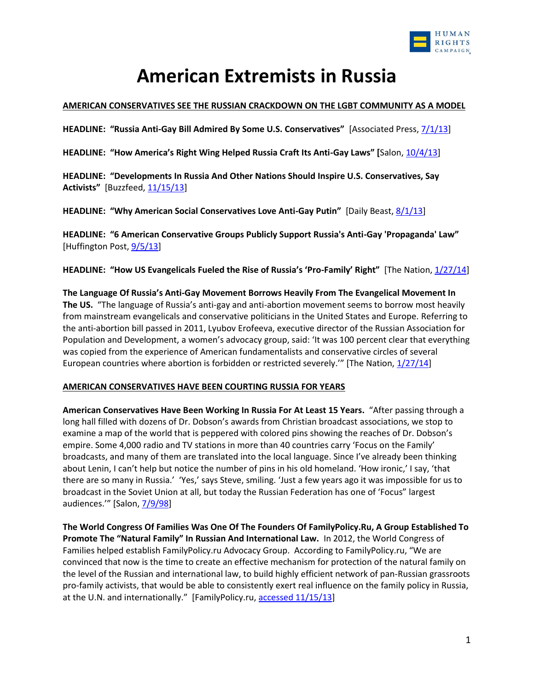

# **American Extremists in Russia**

#### **AMERICAN CONSERVATIVES SEE THE RUSSIAN CRACKDOWN ON THE LGBT COMMUNITY AS A MODEL**

**HEADLINE: "Russia Anti-Gay Bill Admired By Some U.S. Conservatives"** [Associated Press, [7/1/13\]](http://www.huffingtonpost.com/2013/07/01/russia-anti-gay-bill_n_3530050.html)

**HEADLINE: "How America's Right Wing Helped Russia Craft Its Anti-Gay Laws" [**Salon[, 10/4/13\]](http://www.salon.com/2013/10/04/how_americas_right_wing_helped_russia_craft_its_anti_gay_laws/)

**HEADLINE: "Developments In Russia And Other Nations Should Inspire U.S. Conservatives, Say Activists"** [Buzzfeed, [11/15/13\]](http://www.buzzfeed.com/lesterfeder/developments-in-russia-and-other-nations-should-inspire-us-c)

**HEADLINE: "Why American Social Conservatives Love Anti-Gay Putin"** [Daily Beast, [8/1/13\]](http://www.thedailybeast.com/articles/2013/08/01/why-american-conservatives-love-anti-gay-putin.html)

**HEADLINE: "6 American Conservative Groups Publicly Support Russia's Anti-Gay 'Propaganda' Law"**  [Huffington Post,  $9/5/13$ ]

**HEADLINE: "How US Evangelicals Fueled the Rise of Russia's 'Pro-Family' Right"** [The Nation[, 1/27/14\]](http://www.thenation.com/article/177823/how-us-evangelicals-fueled-rise-russias-pro-family-right)

**The Language Of Russia's Anti-Gay Movement Borrows Heavily From The Evangelical Movement In The US.** "The language of Russia's anti-gay and anti-abortion movement seems to borrow most heavily from mainstream evangelicals and conservative politicians in the United States and Europe. Referring to the anti-abortion bill passed in 2011, Lyubov Erofeeva, executive director of the Russian Association for Population and Development, a women's advocacy group, said: 'It was 100 percent clear that everything was copied from the experience of American fundamentalists and conservative circles of several European countries where abortion is forbidden or restricted severely.'" [The Nation, [1/27/14\]](http://www.thenation.com/article/177823/how-us-evangelicals-fueled-rise-russias-pro-family-right)

### **AMERICAN CONSERVATIVES HAVE BEEN COURTING RUSSIA FOR YEARS**

**American Conservatives Have Been Working In Russia For At Least 15 Years.** "After passing through a long hall filled with dozens of Dr. Dobson's awards from Christian broadcast associations, we stop to examine a map of the world that is peppered with colored pins showing the reaches of Dr. Dobson's empire. Some 4,000 radio and TV stations in more than 40 countries carry 'Focus on the Family' broadcasts, and many of them are translated into the local language. Since I've already been thinking about Lenin, I can't help but notice the number of pins in his old homeland. 'How ironic,' I say, 'that there are so many in Russia.' 'Yes,' says Steve, smiling. 'Just a few years ago it was impossible for us to broadcast in the Soviet Union at all, but today the Russian Federation has one of 'Focus" largest audiences."" [Salon, [7/9/98\]](http://www.salon.com/1998/07/09/news_76/)

**The World Congress Of Families Was One Of The Founders Of FamilyPolicy.Ru, A Group Established To Promote The "Natural Family" In Russian And International Law.** In 2012, the World Congress of Families helped establish FamilyPolicy.ru Advocacy Group. According to FamilyPolicy.ru, "We are convinced that now is the time to create an effective mechanism for protection of the natural family on the level of the Russian and international law, to build highly efficient network of pan-Russian grassroots pro-family activists, that would be able to consistently exert real influence on the family policy in Russia, at the U.N. and internationally." [FamilyPolicy.ru, [accessed 11/15/13\]](http://en.familypolicy.ru/about-us/about-the-project)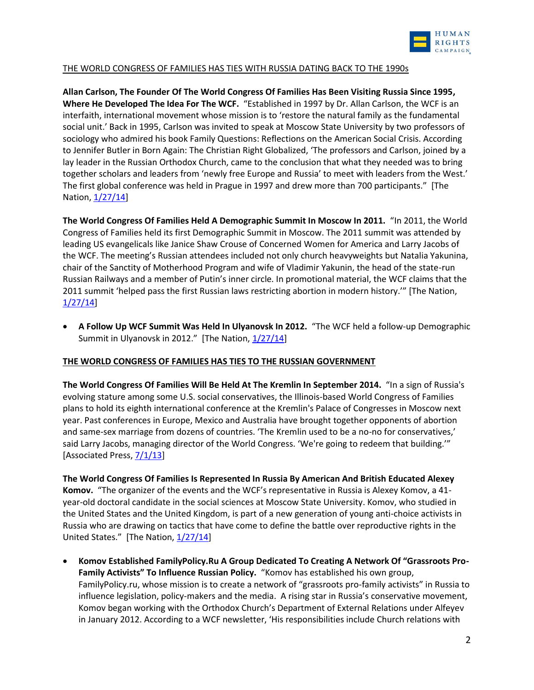

## THE WORLD CONGRESS OF FAMILIES HAS TIES WITH RUSSIA DATING BACK TO THE 1990s

**Allan Carlson, The Founder Of The World Congress Of Families Has Been Visiting Russia Since 1995, Where He Developed The Idea For The WCF.** "Established in 1997 by Dr. Allan Carlson, the WCF is an interfaith, international movement whose mission is to 'restore the natural family as the fundamental social unit.' Back in 1995, Carlson was invited to speak at Moscow State University by two professors of sociology who admired his book Family Questions: Reflections on the American Social Crisis. According to Jennifer Butler in Born Again: The Christian Right Globalized, 'The professors and Carlson, joined by a lay leader in the Russian Orthodox Church, came to the conclusion that what they needed was to bring together scholars and leaders from 'newly free Europe and Russia' to meet with leaders from the West.' The first global conference was held in Prague in 1997 and drew more than 700 participants." [The Nation[, 1/27/14\]](http://www.thenation.com/article/177823/how-us-evangelicals-fueled-rise-russias-pro-family-right)

**The World Congress Of Families Held A Demographic Summit In Moscow In 2011.** "In 2011, the World Congress of Families held its first Demographic Summit in Moscow. The 2011 summit was attended by leading US evangelicals like Janice Shaw Crouse of Concerned Women for America and Larry Jacobs of the WCF. The meeting's Russian attendees included not only church heavyweights but Natalia Yakunina, chair of the Sanctity of Motherhood Program and wife of Vladimir Yakunin, the head of the state-run Russian Railways and a member of Putin's inner circle. In promotional material, the WCF claims that the 2011 summit 'helped pass the first Russian laws restricting abortion in modern history.'" [The Nation, [1/27/14\]](http://www.thenation.com/article/177823/how-us-evangelicals-fueled-rise-russias-pro-family-right)

 **A Follow Up WCF Summit Was Held In Ulyanovsk In 2012.** "The WCF held a follow-up Demographic Summit in Ulyanovsk in 2012." [The Nation, [1/27/14\]](http://www.thenation.com/article/177823/how-us-evangelicals-fueled-rise-russias-pro-family-right)

### **THE WORLD CONGRESS OF FAMILIES HAS TIES TO THE RUSSIAN GOVERNMENT**

**The World Congress Of Families Will Be Held At The Kremlin In September 2014.** "In a sign of Russia's evolving stature among some U.S. social conservatives, the Illinois-based World Congress of Families plans to hold its eighth international conference at the Kremlin's Palace of Congresses in Moscow next year. Past conferences in Europe, Mexico and Australia have brought together opponents of abortion and same-sex marriage from dozens of countries. 'The Kremlin used to be a no-no for conservatives,' said Larry Jacobs, managing director of the World Congress. 'We're going to redeem that building.'" [Associated Press,  $7/1/13$ ]

**The World Congress Of Families Is Represented In Russia By American And British Educated Alexey Komov.** "The organizer of the events and the WCF's representative in Russia is Alexey Komov, a 41 year-old doctoral candidate in the social sciences at Moscow State University. Komov, who studied in the United States and the United Kingdom, is part of a new generation of young anti-choice activists in Russia who are drawing on tactics that have come to define the battle over reproductive rights in the United States." [The Nation, [1/27/14\]](http://www.thenation.com/article/177823/how-us-evangelicals-fueled-rise-russias-pro-family-right)

 **Komov Established FamilyPolicy.Ru A Group Dedicated To Creating A Network Of "Grassroots Pro-Family Activists" To Influence Russian Policy.** "Komov has established his own group, FamilyPolicy.ru, whose mission is to create a network of "grassroots pro-family activists" in Russia to influence legislation, policy-makers and the media. A rising star in Russia's conservative movement, Komov began working with the Orthodox Church's Department of External Relations under Alfeyev in January 2012. According to a WCF newsletter, 'His responsibilities include Church relations with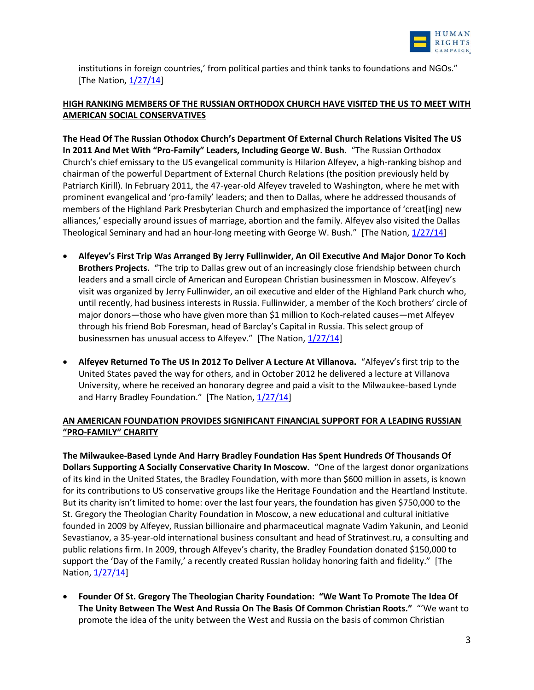

institutions in foreign countries,' from political parties and think tanks to foundations and NGOs." [The Nation,  $1/27/14$ ]

# **HIGH RANKING MEMBERS OF THE RUSSIAN ORTHODOX CHURCH HAVE VISITED THE US TO MEET WITH AMERICAN SOCIAL CONSERVATIVES**

**The Head Of The Russian Othodox Church's Department Of External Church Relations Visited The US In 2011 And Met With "Pro-Family" Leaders, Including George W. Bush.** "The Russian Orthodox Church's chief emissary to the US evangelical community is Hilarion Alfeyev, a high-ranking bishop and chairman of the powerful Department of External Church Relations (the position previously held by Patriarch Kirill). In February 2011, the 47-year-old Alfeyev traveled to Washington, where he met with prominent evangelical and 'pro-family' leaders; and then to Dallas, where he addressed thousands of members of the Highland Park Presbyterian Church and emphasized the importance of 'creat[ing] new alliances,' especially around issues of marriage, abortion and the family. Alfeyev also visited the Dallas Theological Seminary and had an hour-long meeting with George W. Bush." [The Nation,  $1/27/14$ ]

- **Alfeyev's First Trip Was Arranged By Jerry Fullinwider, An Oil Executive And Major Donor To Koch Brothers Projects.** "The trip to Dallas grew out of an increasingly close friendship between church leaders and a small circle of American and European Christian businessmen in Moscow. Alfeyev's visit was organized by Jerry Fullinwider, an oil executive and elder of the Highland Park church who, until recently, had business interests in Russia. Fullinwider, a member of the Koch brothers' circle of major donors—those who have given more than \$1 million to Koch-related causes—met Alfeyev through his friend Bob Foresman, head of Barclay's Capital in Russia. This select group of businessmen has unusual access to Alfeyev." [The Nation, [1/27/14\]](http://www.thenation.com/article/177823/how-us-evangelicals-fueled-rise-russias-pro-family-right)
- **Alfeyev Returned To The US In 2012 To Deliver A Lecture At Villanova.** "Alfeyev's first trip to the United States paved the way for others, and in October 2012 he delivered a lecture at Villanova University, where he received an honorary degree and paid a visit to the Milwaukee-based Lynde and Harry Bradley Foundation." [The Nation, [1/27/14\]](http://www.thenation.com/article/177823/how-us-evangelicals-fueled-rise-russias-pro-family-right)

## **AN AMERICAN FOUNDATION PROVIDES SIGNIFICANT FINANCIAL SUPPORT FOR A LEADING RUSSIAN "PRO-FAMILY" CHARITY**

**The Milwaukee-Based Lynde And Harry Bradley Foundation Has Spent Hundreds Of Thousands Of Dollars Supporting A Socially Conservative Charity In Moscow.** "One of the largest donor organizations of its kind in the United States, the Bradley Foundation, with more than \$600 million in assets, is known for its contributions to US conservative groups like the Heritage Foundation and the Heartland Institute. But its charity isn't limited to home: over the last four years, the foundation has given \$750,000 to the St. Gregory the Theologian Charity Foundation in Moscow, a new educational and cultural initiative founded in 2009 by Alfeyev, Russian billionaire and pharmaceutical magnate Vadim Yakunin, and Leonid Sevastianov, a 35-year-old international business consultant and head of Stratinvest.ru, a consulting and public relations firm. In 2009, through Alfeyev's charity, the Bradley Foundation donated \$150,000 to support the 'Day of the Family,' a recently created Russian holiday honoring faith and fidelity." [The Nation[, 1/27/14\]](http://www.thenation.com/article/177823/how-us-evangelicals-fueled-rise-russias-pro-family-right)

 **Founder Of St. Gregory The Theologian Charity Foundation: "We Want To Promote The Idea Of The Unity Between The West And Russia On The Basis Of Common Christian Roots."** "'We want to promote the idea of the unity between the West and Russia on the basis of common Christian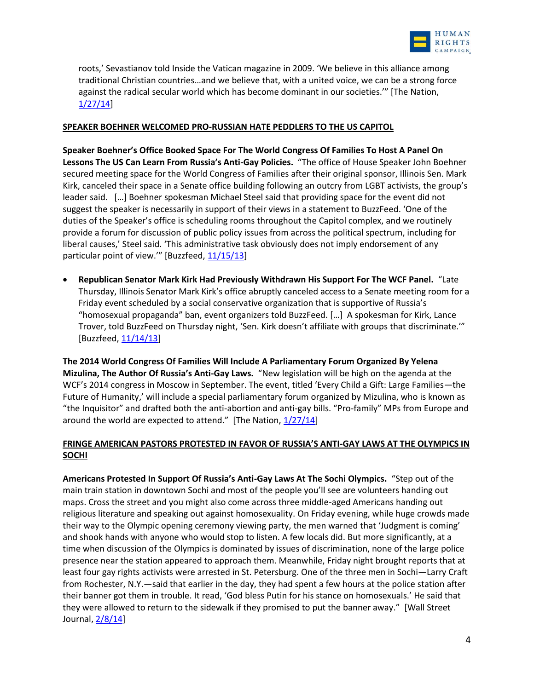

roots,' Sevastianov told Inside the Vatican magazine in 2009. 'We believe in this alliance among traditional Christian countries…and we believe that, with a united voice, we can be a strong force against the radical secular world which has become dominant in our societies.'" [The Nation, [1/27/14\]](http://www.thenation.com/article/177823/how-us-evangelicals-fueled-rise-russias-pro-family-right)

### **SPEAKER BOEHNER WELCOMED PRO-RUSSIAN HATE PEDDLERS TO THE US CAPITOL**

**Speaker Boehner's Office Booked Space For The World Congress Of Families To Host A Panel On Lessons The US Can Learn From Russia's Anti-Gay Policies.** "The office of House Speaker John Boehner secured meeting space for the World Congress of Families after their original sponsor, Illinois Sen. Mark Kirk, canceled their space in a Senate office building following an outcry from LGBT activists, the group's leader said. […] Boehner spokesman Michael Steel said that providing space for the event did not suggest the speaker is necessarily in support of their views in a statement to BuzzFeed. 'One of the duties of the Speaker's office is scheduling rooms throughout the Capitol complex, and we routinely provide a forum for discussion of public policy issues from across the political spectrum, including for liberal causes,' Steel said. 'This administrative task obviously does not imply endorsement of any particular point of view." [Buzzfeed, [11/15/13\]](http://www.buzzfeed.com/lesterfeder/speaker-john-boehner-hosts-supporters-of-russias-anti-gay-la)

 **Republican Senator Mark Kirk Had Previously Withdrawn His Support For The WCF Panel.** "Late Thursday, Illinois Senator Mark Kirk's office abruptly canceled access to a Senate meeting room for a Friday event scheduled by a social conservative organization that is supportive of Russia's "homosexual propaganda" ban, event organizers told BuzzFeed. […] A spokesman for Kirk, Lance Trover, told BuzzFeed on Thursday night, 'Sen. Kirk doesn't affiliate with groups that discriminate.'" [Buzzfeed, [11/14/13\]](http://www.buzzfeed.com/lesterfeder/senator-kirk-pulls-senate-meeting-room-for-group-supportive)

**The 2014 World Congress Of Families Will Include A Parliamentary Forum Organized By Yelena Mizulina, The Author Of Russia's Anti-Gay Laws.** "New legislation will be high on the agenda at the WCF's 2014 congress in Moscow in September. The event, titled 'Every Child a Gift: Large Families—the Future of Humanity,' will include a special parliamentary forum organized by Mizulina, who is known as "the Inquisitor" and drafted both the anti-abortion and anti-gay bills. "Pro-family" MPs from Europe and around the world are expected to attend." [The Nation,  $1/27/14$ ]

## **FRINGE AMERICAN PASTORS PROTESTED IN FAVOR OF RUSSIA'S ANTI-GAY LAWS AT THE OLYMPICS IN SOCHI**

**Americans Protested In Support Of Russia's Anti-Gay Laws At The Sochi Olympics.** "Step out of the main train station in downtown Sochi and most of the people you'll see are volunteers handing out maps. Cross the street and you might also come across three middle-aged Americans handing out religious literature and speaking out against homosexuality. On Friday evening, while huge crowds made their way to the Olympic opening ceremony viewing party, the men warned that 'Judgment is coming' and shook hands with anyone who would stop to listen. A few locals did. But more significantly, at a time when discussion of the Olympics is dominated by issues of discrimination, none of the large police presence near the station appeared to approach them. Meanwhile, Friday night brought reports that at least four gay rights activists were arrested in St. Petersburg. One of the three men in Sochi—Larry Craft from Rochester, N.Y.—said that earlier in the day, they had spent a few hours at the police station after their banner got them in trouble. It read, 'God bless Putin for his stance on homosexuals.' He said that they were allowed to return to the sidewalk if they promised to put the banner away." [Wall Street Journal[, 2/8/14\]](http://blogs.wsj.com/dailyfix/2014/02/08/anti-gay-americans-preach-in-downtown-sochi/tab/print/)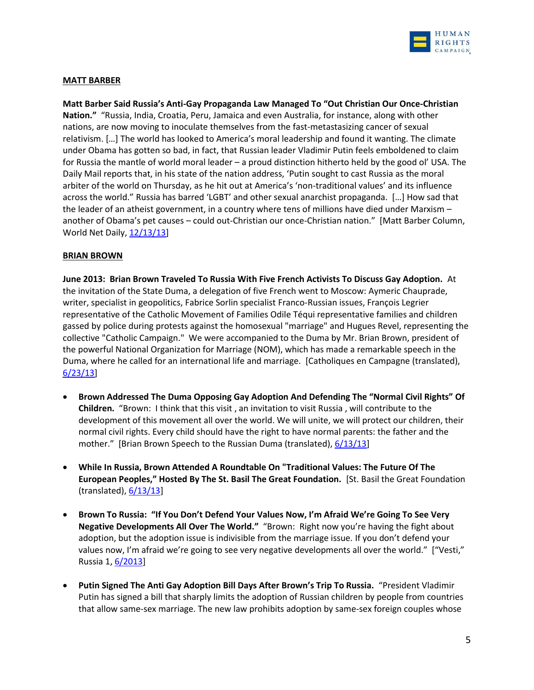

### **MATT BARBER**

**Matt Barber Said Russia's Anti-Gay Propaganda Law Managed To "Out Christian Our Once-Christian Nation."** "Russia, India, Croatia, Peru, Jamaica and even Australia, for instance, along with other nations, are now moving to inoculate themselves from the fast-metastasizing cancer of sexual relativism. […] The world has looked to America's moral leadership and found it wanting. The climate under Obama has gotten so bad, in fact, that Russian leader Vladimir Putin feels emboldened to claim for Russia the mantle of world moral leader – a proud distinction hitherto held by the good ol' USA. The Daily Mail reports that, in his state of the nation address, 'Putin sought to cast Russia as the moral arbiter of the world on Thursday, as he hit out at America's 'non-traditional values' and its influence across the world." Russia has barred 'LGBT' and other sexual anarchist propaganda. […] How sad that the leader of an atheist government, in a country where tens of millions have died under Marxism – another of Obama's pet causes – could out-Christian our once-Christian nation." [Matt Barber Column, World Net Daily, [12/13/13\]](http://www.wnd.com/2013/12/americas-chief-export-immorality/)

#### **BRIAN BROWN**

**June 2013: Brian Brown Traveled To Russia With Five French Activists To Discuss Gay Adoption.** At the invitation of the State Duma, a delegation of five French went to Moscow: Aymeric Chauprade, writer, specialist in geopolitics, Fabrice Sorlin specialist Franco-Russian issues, François Legrier representative of the Catholic Movement of Families Odile Téqui representative families and children gassed by police during protests against the homosexual "marriage" and Hugues Revel, representing the collective "Catholic Campaign." We were accompanied to the Duma by Mr. Brian Brown, president of the powerful National Organization for Marriage (NOM), which has made a remarkable speech in the Duma, where he called for an international life and marriage. [Catholiques en Campagne (translated), [6/23/13\]](http://www.catholiques-en-campagne.fr/index.php?option=com_content&view=article&id=417:ce-que-jai-vu-et-entendu-a-moscou&catid=16&Itemid=44)

- **Brown Addressed The Duma Opposing Gay Adoption And Defending The "Normal Civil Rights" Of Children.** "Brown: I think that this visit , an invitation to visit Russia , will contribute to the development of this movement all over the world. We will unite, we will protect our children, their normal civil rights. Every child should have the right to have normal parents: the father and the mother." [Brian Brown Speech to the Russian Duma (translated),  $6/13/13$ ]
- **While In Russia, Brown Attended A Roundtable On "Traditional Values: The Future Of The European Peoples," Hosted By The St. Basil The Great Foundation.** [St. Basil the Great Foundation (translated),  $6/13/13$ ]
- **Brown To Russia: "If You Don't Defend Your Values Now, I'm Afraid We're Going To See Very Negative Developments All Over The World."** "Brown: Right now you're having the fight about adoption, but the adoption issue is indivisible from the marriage issue. If you don't defend your values now, I'm afraid we're going to see very negative developments all over the world." ["Vesti," Russia 1[, 6/2013\]](http://www.rightwingwatch.org/content/globalizing-homophobia-part-2-today-whole-world-looking-russia)
- **Putin Signed The Anti Gay Adoption Bill Days After Brown's Trip To Russia.** "President Vladimir Putin has signed a bill that sharply limits the adoption of Russian children by people from countries that allow same-sex marriage. The new law prohibits adoption by same-sex foreign couples whose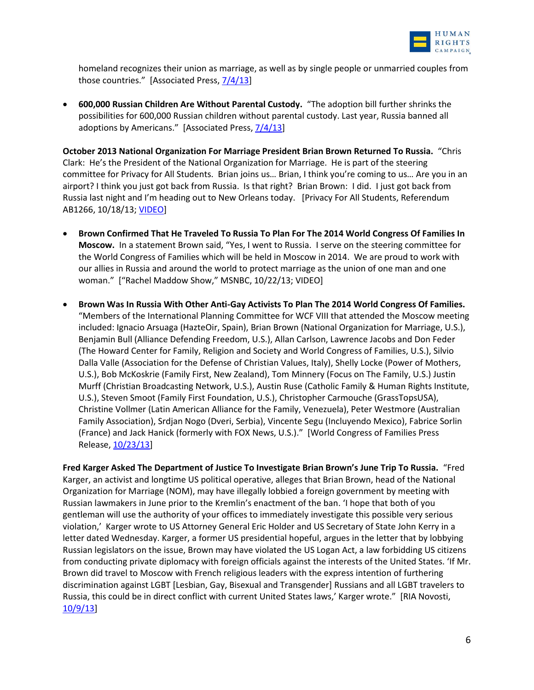

homeland recognizes their union as marriage, as well as by single people or unmarried couples from those countries." [Associated Press, [7/4/13\]](http://www.usatoday.com/story/news/world/2013/07/03/russia-putin-gay-adoption/2486913/)

 **600,000 Russian Children Are Without Parental Custody.** "The adoption bill further shrinks the possibilities for 600,000 Russian children without parental custody. Last year, Russia banned all adoptions by Americans." [Associated Press[, 7/4/13\]](http://www.usatoday.com/story/news/world/2013/07/03/russia-putin-gay-adoption/2486913/)

**October 2013 National Organization For Marriage President Brian Brown Returned To Russia.** "Chris Clark: He's the President of the National Organization for Marriage. He is part of the steering committee for Privacy for All Students. Brian joins us… Brian, I think you're coming to us… Are you in an airport? I think you just got back from Russia. Is that right? Brian Brown: I did. I just got back from Russia last night and I'm heading out to New Orleans today. [Privacy For All Students, Referendum AB1266, 10/18/13; [VIDEO\]](http://vimeo.com/77230963)

- **Brown Confirmed That He Traveled To Russia To Plan For The 2014 World Congress Of Families In Moscow.** In a statement Brown said, "Yes, I went to Russia. I serve on the steering committee for the World Congress of Families which will be held in Moscow in 2014. We are proud to work with our allies in Russia and around the world to protect marriage as the union of one man and one woman." ["Rachel Maddow Show," MSNBC, 10/22/13; VIDEO]
- **Brown Was In Russia With Other Anti-Gay Activists To Plan The 2014 World Congress Of Families.**  "Members of the International Planning Committee for WCF VIII that attended the Moscow meeting included: Ignacio Arsuaga (HazteOir, Spain), Brian Brown (National Organization for Marriage, U.S.), Benjamin Bull (Alliance Defending Freedom, U.S.), Allan Carlson, Lawrence Jacobs and Don Feder (The Howard Center for Family, Religion and Society and World Congress of Families, U.S.), Silvio Dalla Valle (Association for the Defense of Christian Values, Italy), Shelly Locke (Power of Mothers, U.S.), Bob McKoskrie (Family First, New Zealand), Tom Minnery (Focus on The Family, U.S.) Justin Murff (Christian Broadcasting Network, U.S.), Austin Ruse (Catholic Family & Human Rights Institute, U.S.), Steven Smoot (Family First Foundation, U.S.), Christopher Carmouche (GrassTopsUSA), Christine Vollmer (Latin American Alliance for the Family, Venezuela), Peter Westmore (Australian Family Association), Srdjan Nogo (Dveri, Serbia), Vincente Segu (Incluyendo Mexico), Fabrice Sorlin (France) and Jack Hanick (formerly with FOX News, U.S.)." [World Congress of Families Press Release[, 10/23/13\]](http://us2.campaign-archive2.com/?u=71b5ff0a93830214b96a42bf6&id=506aaa3795&e=594c6f534a)

**Fred Karger Asked The Department of Justice To Investigate Brian Brown's June Trip To Russia.** "Fred Karger, an activist and longtime US political operative, alleges that Brian Brown, head of the National Organization for Marriage (NOM), may have illegally lobbied a foreign government by meeting with Russian lawmakers in June prior to the Kremlin's enactment of the ban. 'I hope that both of you gentleman will use the authority of your offices to immediately investigate this possible very serious violation,' Karger wrote to US Attorney General Eric Holder and US Secretary of State John Kerry in a letter dated Wednesday. Karger, a former US presidential hopeful, argues in the letter that by lobbying Russian legislators on the issue, Brown may have violated the US Logan Act, a law forbidding US citizens from conducting private diplomacy with foreign officials against the interests of the United States. 'If Mr. Brown did travel to Moscow with French religious leaders with the express intention of furthering discrimination against LGBT [Lesbian, Gay, Bisexual and Transgender] Russians and all LGBT travelers to Russia, this could be in direct conflict with current United States laws,' Karger wrote." [RIA Novosti, [10/9/13\]](http://en.ria.ru/russia/20131009/184038362/US-Gay-Marriage-Foe-Brian-Brown-Targeted-Over-Russia-Trip.html)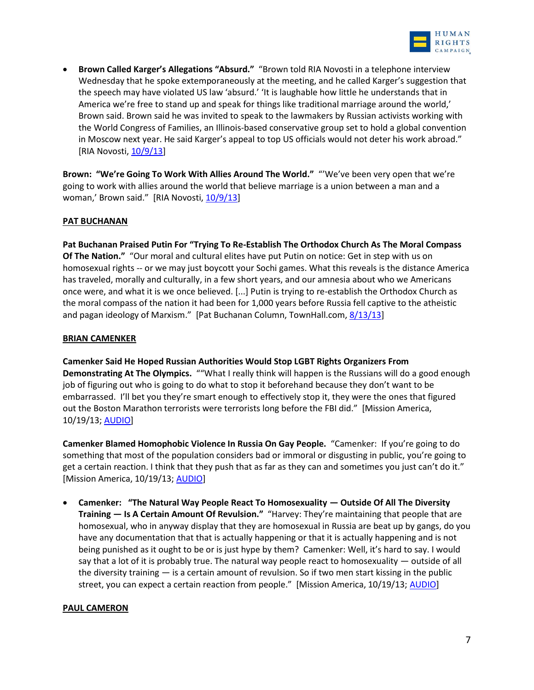

 **Brown Called Karger's Allegations "Absurd."** "Brown told RIA Novosti in a telephone interview Wednesday that he spoke extemporaneously at the meeting, and he called Karger's suggestion that the speech may have violated US law 'absurd.' 'It is laughable how little he understands that in America we're free to stand up and speak for things like traditional marriage around the world,' Brown said. Brown said he was invited to speak to the lawmakers by Russian activists working with the World Congress of Families, an Illinois-based conservative group set to hold a global convention in Moscow next year. He said Karger's appeal to top US officials would not deter his work abroad." [RIA Novosti, [10/9/13\]](http://en.ria.ru/russia/20131009/184038362/US-Gay-Marriage-Foe-Brian-Brown-Targeted-Over-Russia-Trip.html)

**Brown: "We're Going To Work With Allies Around The World."** "'We've been very open that we're going to work with allies around the world that believe marriage is a union between a man and a woman,' Brown said." [RIA Novosti, [10/9/13\]](http://en.ria.ru/russia/20131009/184038362/US-Gay-Marriage-Foe-Brian-Brown-Targeted-Over-Russia-Trip.html)

### **PAT BUCHANAN**

**Pat Buchanan Praised Putin For "Trying To Re-Establish The Orthodox Church As The Moral Compass Of The Nation."** "Our moral and cultural elites have put Putin on notice: Get in step with us on homosexual rights -- or we may just boycott your Sochi games. What this reveals is the distance America has traveled, morally and culturally, in a few short years, and our amnesia about who we Americans once were, and what it is we once believed. [...] Putin is trying to re-establish the Orthodox Church as the moral compass of the nation it had been for 1,000 years before Russia fell captive to the atheistic and pagan ideology of Marxism." [Pat Buchanan Column, TownHall.com, [8/13/13\]](http://townhall.com/columnists/patbuchanan/2013/08/13/post-v-putin--whose-side-are-you-on-n1662568/page/full)

## **BRIAN CAMENKER**

**Camenker Said He Hoped Russian Authorities Would Stop LGBT Rights Organizers From Demonstrating At The Olympics.** ""What I really think will happen is the Russians will do a good enough job of figuring out who is going to do what to stop it beforehand because they don't want to be embarrassed. I'll bet you they're smart enough to effectively stop it, they were the ones that figured out the Boston Marathon terrorists were terrorists long before the FBI did." [Mission America, 10/19/13; [AUDIO\]](https://soundcloud.com/rightwingwatch/camenker-russia-will-stop-gay)

**Camenker Blamed Homophobic Violence In Russia On Gay People.** "Camenker: If you're going to do something that most of the population considers bad or immoral or disgusting in public, you're going to get a certain reaction. I think that they push that as far as they can and sometimes you just can't do it." [Mission America, 10/19/13; [AUDIO\]](https://soundcloud.com/rightwingwatch/camenker-victims-of-gay)

 **Camenker: "The Natural Way People React To Homosexuality — Outside Of All The Diversity Training — Is A Certain Amount Of Revulsion."** "Harvey: They're maintaining that people that are homosexual, who in anyway display that they are homosexual in Russia are beat up by gangs, do you have any documentation that that is actually happening or that it is actually happening and is not being punished as it ought to be or is just hype by them? Camenker: Well, it's hard to say. I would say that a lot of it is probably true. The natural way people react to homosexuality — outside of all the diversity training — is a certain amount of revulsion. So if two men start kissing in the public street, you can expect a certain reaction from people." [Mission America, 10/19/13; [AUDIO\]](https://soundcloud.com/rightwingwatch/camenker-victims-of-gay)

### **PAUL CAMERON**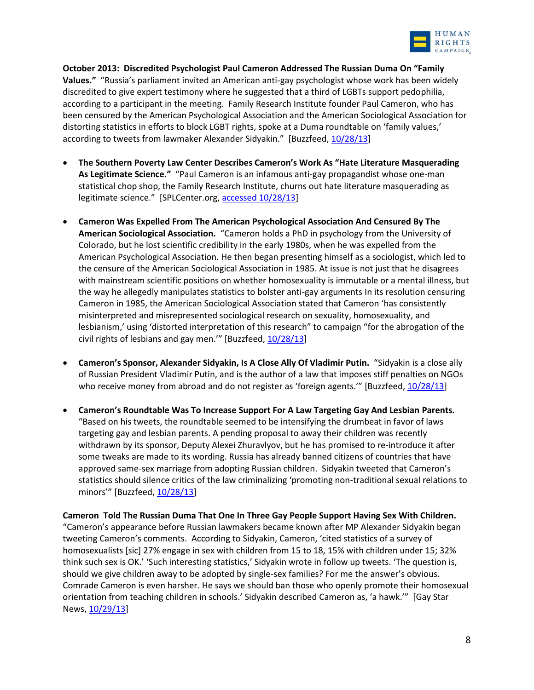

**October 2013: Discredited Psychologist Paul Cameron Addressed The Russian Duma On "Family Values."** "Russia's parliament invited an American anti-gay psychologist whose work has been widely discredited to give expert testimony where he suggested that a third of LGBTs support pedophilia, according to a participant in the meeting. Family Research Institute founder Paul Cameron, who has been censured by the American Psychological Association and the American Sociological Association for distorting statistics in efforts to block LGBT rights, spoke at a Duma roundtable on 'family values,' according to tweets from lawmaker Alexander Sidyakin." [Buzzfeed, [10/28/13\]](http://www.buzzfeed.com/maxseddon/discredited-us-anti-gay-activist-addreses-russian-parliament)

- **The Southern Poverty Law Center Describes Cameron's Work As "Hate Literature Masquerading As Legitimate Science."** "Paul Cameron is an infamous anti-gay propagandist whose one-man statistical chop shop, the Family Research Institute, churns out hate literature masquerading as legitimate science." [SPLCenter.org, [accessed 10/28/13\]](http://www.splcenter.org/get-informed/intelligence-files/profiles/paul-cameron)
- **Cameron Was Expelled From The American Psychological Association And Censured By The American Sociological Association.** "Cameron holds a PhD in psychology from the University of Colorado, but he lost scientific credibility in the early 1980s, when he was expelled from the American Psychological Association. He then began presenting himself as a sociologist, which led to the censure of the American Sociological Association in 1985. At issue is not just that he disagrees with mainstream scientific positions on whether homosexuality is immutable or a mental illness, but the way he allegedly manipulates statistics to bolster anti-gay arguments In its resolution censuring Cameron in 1985, the American Sociological Association stated that Cameron 'has consistently misinterpreted and misrepresented sociological research on sexuality, homosexuality, and lesbianism,' using 'distorted interpretation of this research" to campaign "for the abrogation of the civil rights of lesbians and gay men." [Buzzfeed,  $10/28/13$ ]
- **Cameron's Sponsor, Alexander Sidyakin, Is A Close Ally Of Vladimir Putin.** "Sidyakin is a close ally of Russian President Vladimir Putin, and is the author of a law that imposes stiff penalties on NGOs who receive money from abroad and do not register as 'foreign agents.'" [Buzzfeed, [10/28/13\]](http://www.buzzfeed.com/maxseddon/discredited-us-anti-gay-activist-addreses-russian-parliament)
- **Cameron's Roundtable Was To Increase Support For A Law Targeting Gay And Lesbian Parents.**  "Based on his tweets, the roundtable seemed to be intensifying the drumbeat in favor of laws targeting gay and lesbian parents. A pending proposal to away their children was recently withdrawn by its sponsor, Deputy Alexei Zhuravlyov, but he has promised to re-introduce it after some tweaks are made to its wording. Russia has already banned citizens of countries that have approved same-sex marriage from adopting Russian children. Sidyakin tweeted that Cameron's statistics should silence critics of the law criminalizing 'promoting non-traditional sexual relations to minors'" [Buzzfeed, [10/28/13\]](http://www.buzzfeed.com/maxseddon/discredited-us-anti-gay-activist-addreses-russian-parliament)

**Cameron Told The Russian Duma That One In Three Gay People Support Having Sex With Children.**  "Cameron's appearance before Russian lawmakers became known after MP Alexander Sidyakin began tweeting Cameron's comments. According to Sidyakin, Cameron, 'cited statistics of a survey of homosexualists [sic] 27% engage in sex with children from 15 to 18, 15% with children under 15; 32% think such sex is OK.' 'Such interesting statistics,' Sidyakin wrote in follow up tweets. 'The question is, should we give children away to be adopted by single-sex families? For me the answer's obvious. Comrade Cameron is even harsher. He says we should ban those who openly promote their homosexual orientation from teaching children in schools.' Sidyakin described Cameron as, 'a hawk.'" [Gay Star News, [10/29/13\]](http://www.gaystarnews.com/article/american-hate-group-leader-tells-russian-duma-1-3-lgbts-support-sex-children291013)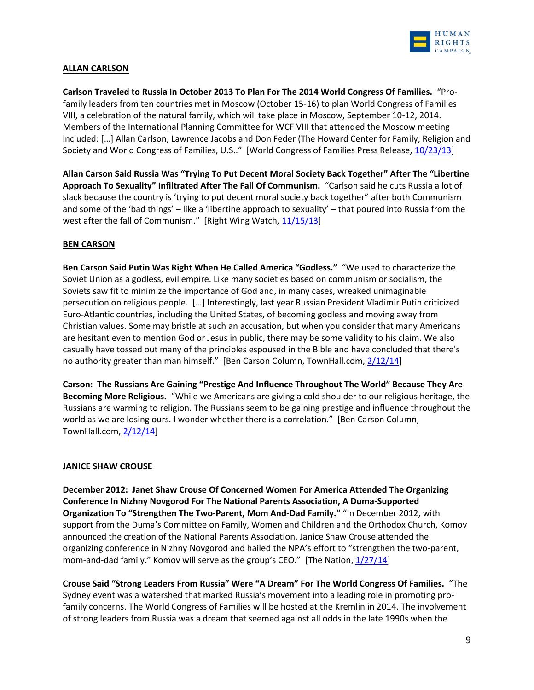

## **ALLAN CARLSON**

**Carlson Traveled to Russia In October 2013 To Plan For The 2014 World Congress Of Families.** "Profamily leaders from ten countries met in Moscow (October 15-16) to plan World Congress of Families VIII, a celebration of the natural family, which will take place in Moscow, September 10-12, 2014. Members of the International Planning Committee for WCF VIII that attended the Moscow meeting included: […] Allan Carlson, Lawrence Jacobs and Don Feder (The Howard Center for Family, Religion and Society and World Congress of Families, U.S.." [World Congress of Families Press Release, [10/23/13\]](http://us2.campaign-archive2.com/?u=71b5ff0a93830214b96a42bf6&id=506aaa3795&e=594c6f534a)

**Allan Carson Said Russia Was "Trying To Put Decent Moral Society Back Together" After The "Libertine Approach To Sexuality" Infiltrated After The Fall Of Communism.** "Carlson said he cuts Russia a lot of slack because the country is 'trying to put decent moral society back together" after both Communism and some of the 'bad things' – like a 'libertine approach to sexuality' – that poured into Russia from the west after the fall of Communism." [Right Wing Watch, [11/15/13\]](http://www.rightwingwatch.org/content/religious-right-leaders-defend-russia-s-anti-gay-law)

### **BEN CARSON**

**Ben Carson Said Putin Was Right When He Called America "Godless."** "We used to characterize the Soviet Union as a godless, evil empire. Like many societies based on communism or socialism, the Soviets saw fit to minimize the importance of God and, in many cases, wreaked unimaginable persecution on religious people. […] Interestingly, last year Russian President Vladimir Putin criticized Euro-Atlantic countries, including the United States, of becoming godless and moving away from Christian values. Some may bristle at such an accusation, but when you consider that many Americans are hesitant even to mention God or Jesus in public, there may be some validity to his claim. We also casually have tossed out many of the principles espoused in the Bible and have concluded that there's no authority greater than man himself." [Ben Carson Column, TownHall.com, [2/12/14\]](http://townhall.com/columnists/drbencarson/2014/02/12/still-one-nation-under-god-n1793430/page/full)

**Carson: The Russians Are Gaining "Prestige And Influence Throughout The World" Because They Are Becoming More Religious.** "While we Americans are giving a cold shoulder to our religious heritage, the Russians are warming to religion. The Russians seem to be gaining prestige and influence throughout the world as we are losing ours. I wonder whether there is a correlation." [Ben Carson Column, TownHall.com, [2/12/14\]](http://townhall.com/columnists/drbencarson/2014/02/12/still-one-nation-under-god-n1793430/page/full)

### **JANICE SHAW CROUSE**

**December 2012: Janet Shaw Crouse Of Concerned Women For America Attended The Organizing Conference In Nizhny Novgorod For The National Parents Association, A Duma-Supported Organization To "Strengthen The Two-Parent, Mom And-Dad Family."** "In December 2012, with support from the Duma's Committee on Family, Women and Children and the Orthodox Church, Komov announced the creation of the National Parents Association. Janice Shaw Crouse attended the organizing conference in Nizhny Novgorod and hailed the NPA's effort to "strengthen the two-parent, mom-and-dad family." Komov will serve as the group's CEO." [The Nation,  $1/27/14$ ]

**Crouse Said "Strong Leaders From Russia" Were "A Dream" For The World Congress Of Families.** "The Sydney event was a watershed that marked Russia's movement into a leading role in promoting profamily concerns. The World Congress of Families will be hosted at the Kremlin in 2014. The involvement of strong leaders from Russia was a dream that seemed against all odds in the late 1990s when the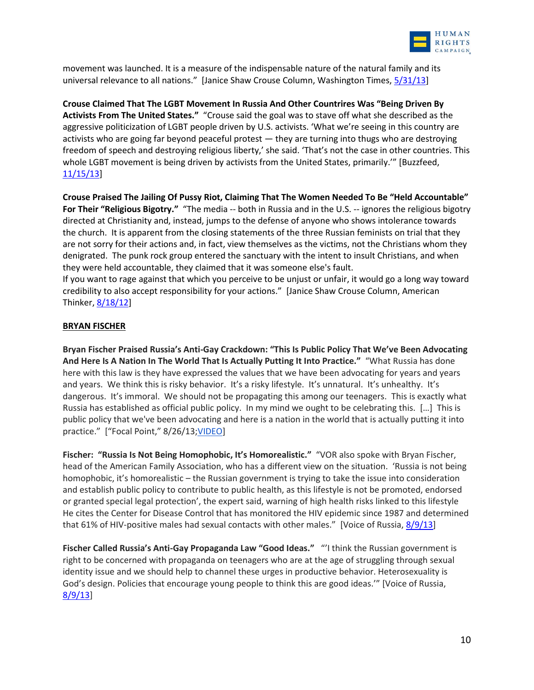

movement was launched. It is a measure of the indispensable nature of the natural family and its universal relevance to all nations." [Janice Shaw Crouse Column, Washington Times,  $5/31/13$ ]

**Crouse Claimed That The LGBT Movement In Russia And Other Countrires Was "Being Driven By Activists From The United States."** "Crouse said the goal was to stave off what she described as the aggressive politicization of LGBT people driven by U.S. activists. 'What we're seeing in this country are activists who are going far beyond peaceful protest — they are turning into thugs who are destroying freedom of speech and destroying religious liberty,' she said. 'That's not the case in other countries. This whole LGBT movement is being driven by activists from the United States, primarily.'" [Buzzfeed, [11/15/13\]](http://www.buzzfeed.com/lesterfeder/developments-in-russia-and-other-nations-should-inspire-us-c)

**Crouse Praised The Jailing Of Pussy Riot, Claiming That The Women Needed To Be "Held Accountable" For Their "Religious Bigotry."** "The media -- both in Russia and in the U.S. -- ignores the religious bigotry directed at Christianity and, instead, jumps to the defense of anyone who shows intolerance towards the church. It is apparent from the closing statements of the three Russian feminists on trial that they are not sorry for their actions and, in fact, view themselves as the victims, not the Christians whom they denigrated. The punk rock group entered the sanctuary with the intent to insult Christians, and when they were held accountable, they claimed that it was someone else's fault.

If you want to rage against that which you perceive to be unjust or unfair, it would go a long way toward credibility to also accept responsibility for your actions." [Janice Shaw Crouse Column, American Thinker, [8/18/12\]](http://www.americanthinker.com/2012/08/jailing_pussy_riot_in_russia.html)

### **BRYAN FISCHER**

**Bryan Fischer Praised Russia's Anti-Gay Crackdown: "This Is Public Policy That We've Been Advocating And Here Is A Nation In The World That Is Actually Putting It Into Practice."** "What Russia has done here with this law is they have expressed the values that we have been advocating for years and years and years. We think this is risky behavior. It's a risky lifestyle. It's unnatural. It's unhealthy. It's dangerous. It's immoral. We should not be propagating this among our teenagers. This is exactly what Russia has established as official public policy. In my mind we ought to be celebrating this. […] This is public policy that we've been advocating and here is a nation in the world that is actually putting it into practice." ["Focal Point," 8/26/13; [VIDEO\]](http://www.youtube.com/watch?v=T5JJxO5ER7A&feature=youtu.be)

**Fischer: "Russia Is Not Being Homophobic, It's Homorealistic."** "VOR also spoke with Bryan Fischer, head of the American Family Association, who has a different view on the situation. 'Russia is not being homophobic, it's homorealistic – the Russian government is trying to take the issue into consideration and establish public policy to contribute to public health, as this lifestyle is not be promoted, endorsed or granted special legal protection', the expert said, warning of high health risks linked to this lifestyle He cites the Center for Disease Control that has monitored the HIV epidemic since 1987 and determined that 61% of HIV-positive males had sexual contacts with other males." [Voice of Russia, [8/9/13\]](http://voiceofrussia.com/2013_08_09/Russia-not-homophobic-it-s-homorealistic-expert-3688/)

**Fischer Called Russia's Anti-Gay Propaganda Law "Good Ideas."** "'I think the Russian government is right to be concerned with propaganda on teenagers who are at the age of struggling through sexual identity issue and we should help to channel these urges in productive behavior. Heterosexuality is God's design. Policies that encourage young people to think this are good ideas.'" [Voice of Russia, [8/9/13\]](http://voiceofrussia.com/2013_08_09/Russia-not-homophobic-it-s-homorealistic-expert-3688/)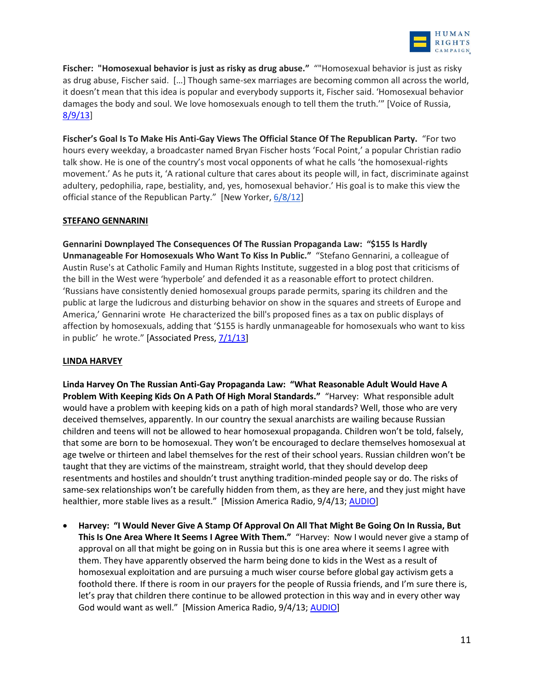

**Fischer: "Homosexual behavior is just as risky as drug abuse."** ""Homosexual behavior is just as risky as drug abuse, Fischer said. […] Though same-sex marriages are becoming common all across the world, it doesn't mean that this idea is popular and everybody supports it, Fischer said. 'Homosexual behavior damages the body and soul. We love homosexuals enough to tell them the truth.'" [Voice of Russia, [8/9/13\]](http://voiceofrussia.com/2013_08_09/Russia-not-homophobic-it-s-homorealistic-expert-3688/)

**Fischer's Goal Is To Make His Anti-Gay Views The Official Stance Of The Republican Party.** "For two hours every weekday, a broadcaster named Bryan Fischer hosts 'Focal Point,' a popular Christian radio talk show. He is one of the country's most vocal opponents of what he calls 'the homosexual-rights movement.' As he puts it, 'A rational culture that cares about its people will, in fact, discriminate against adultery, pedophilia, rape, bestiality, and, yes, homosexual behavior.' His goal is to make this view the official stance of the Republican Party." [New Yorker, [6/8/12\]](http://www.newyorker.com/reporting/2012/06/18/120618fa_fact_mayer)

### **STEFANO GENNARINI**

**Gennarini Downplayed The Consequences Of The Russian Propaganda Law: "\$155 Is Hardly Unmanageable For Homosexuals Who Want To Kiss In Public."** "Stefano Gennarini, a colleague of Austin Ruse's at Catholic Family and Human Rights Institute, suggested in a blog post that criticisms of the bill in the West were 'hyperbole' and defended it as a reasonable effort to protect children. 'Russians have consistently denied homosexual groups parade permits, sparing its children and the public at large the ludicrous and disturbing behavior on show in the squares and streets of Europe and America,' Gennarini wrote He characterized the bill's proposed fines as a tax on public displays of affection by homosexuals, adding that '\$155 is hardly unmanageable for homosexuals who want to kiss in public' he wrote." [Associated Press[, 7/1/13\]](http://www.huffingtonpost.com/2013/07/01/russia-anti-gay-bill_n_3530050.html)

### **LINDA HARVEY**

**Linda Harvey On The Russian Anti-Gay Propaganda Law: "What Reasonable Adult Would Have A Problem With Keeping Kids On A Path Of High Moral Standards."** "Harvey: What responsible adult would have a problem with keeping kids on a path of high moral standards? Well, those who are very deceived themselves, apparently. In our country the sexual anarchists are wailing because Russian children and teens will not be allowed to hear homosexual propaganda. Children won't be told, falsely, that some are born to be homosexual. They won't be encouraged to declare themselves homosexual at age twelve or thirteen and label themselves for the rest of their school years. Russian children won't be taught that they are victims of the mainstream, straight world, that they should develop deep resentments and hostiles and shouldn't trust anything tradition-minded people say or do. The risks of same-sex relationships won't be carefully hidden from them, as they are here, and they just might have healthier, more stable lives as a result." [Mission America Radio, 9/4/13; [AUDIO\]](https://soundcloud.com/rightwingwatch/harvey-pray-for-russian-anti)

 **Harvey: "I Would Never Give A Stamp Of Approval On All That Might Be Going On In Russia, But This Is One Area Where It Seems I Agree With Them."** "Harvey: Now I would never give a stamp of approval on all that might be going on in Russia but this is one area where it seems I agree with them. They have apparently observed the harm being done to kids in the West as a result of homosexual exploitation and are pursuing a much wiser course before global gay activism gets a foothold there. If there is room in our prayers for the people of Russia friends, and I'm sure there is, let's pray that children there continue to be allowed protection in this way and in every other way God would want as well." [Mission America Radio, 9/4/13; [AUDIO\]](https://soundcloud.com/rightwingwatch/harvey-pray-for-russian-anti)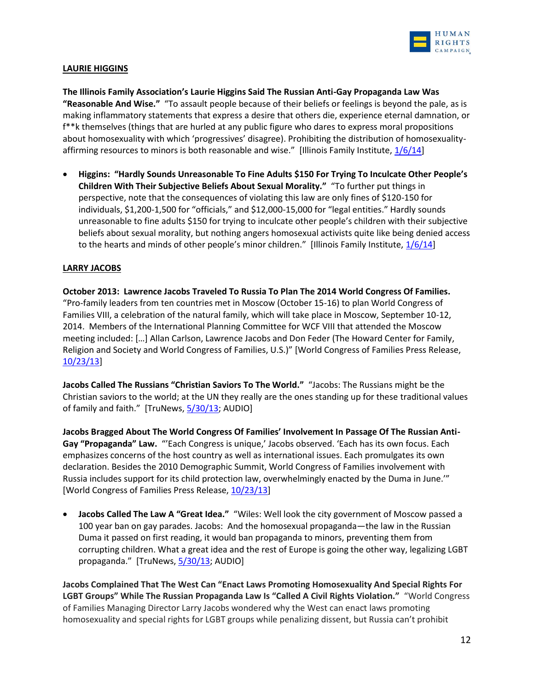

## **LAURIE HIGGINS**

**The Illinois Family Association's Laurie Higgins Said The Russian Anti-Gay Propaganda Law Was "Reasonable And Wise."** "To assault people because of their beliefs or feelings is beyond the pale, as is making inflammatory statements that express a desire that others die, experience eternal damnation, or f\*\*k themselves (things that are hurled at any public figure who dares to express moral propositions about homosexuality with which 'progressives' disagree). Prohibiting the distribution of homosexualityaffirming resources to minors is both reasonable and wise." [Illinois Family Institute,  $1/6/14$ ]

 **Higgins: "Hardly Sounds Unreasonable To Fine Adults \$150 For Trying To Inculcate Other People's Children With Their Subjective Beliefs About Sexual Morality."** "To further put things in perspective, note that the consequences of violating this law are only fines of \$120-150 for individuals, \$1,200-1,500 for "officials," and \$12,000-15,000 for "legal entities." Hardly sounds unreasonable to fine adults \$150 for trying to inculcate other people's children with their subjective beliefs about sexual morality, but nothing angers homosexual activists quite like being denied access to the hearts and minds of other people's minor children." [Illinois Family Institute,  $1/6/14$ ]

## **LARRY JACOBS**

**October 2013: Lawrence Jacobs Traveled To Russia To Plan The 2014 World Congress Of Families.**  "Pro-family leaders from ten countries met in Moscow (October 15-16) to plan World Congress of Families VIII, a celebration of the natural family, which will take place in Moscow, September 10-12, 2014. Members of the International Planning Committee for WCF VIII that attended the Moscow meeting included: […] Allan Carlson, Lawrence Jacobs and Don Feder (The Howard Center for Family, Religion and Society and World Congress of Families, U.S.)" [World Congress of Families Press Release, [10/23/13\]](http://us2.campaign-archive2.com/?u=71b5ff0a93830214b96a42bf6&id=506aaa3795&e=594c6f534a)

**Jacobs Called The Russians "Christian Saviors To The World."** "Jacobs: The Russians might be the Christian saviors to the world; at the UN they really are the ones standing up for these traditional values of family and faith." [TruNews,  $\frac{5}{30/13}$ ; AUDIO]

**Jacobs Bragged About The World Congress Of Families' Involvement In Passage Of The Russian Anti-Gay "Propaganda" Law.** "'Each Congress is unique,' Jacobs observed. 'Each has its own focus. Each emphasizes concerns of the host country as well as international issues. Each promulgates its own declaration. Besides the 2010 Demographic Summit, World Congress of Families involvement with Russia includes support for its child protection law, overwhelmingly enacted by the Duma in June.'" [World Congress of Families Press Release, [10/23/13\]](http://us2.campaign-archive2.com/?u=71b5ff0a93830214b96a42bf6&id=506aaa3795&e=594c6f534a)

 **Jacobs Called The Law A "Great Idea."** "Wiles: Well look the city government of Moscow passed a 100 year ban on gay parades. Jacobs: And the homosexual propaganda—the law in the Russian Duma it passed on first reading, it would ban propaganda to minors, preventing them from corrupting children. What a great idea and the rest of Europe is going the other way, legalizing LGBT propaganda." [TruNews, [5/30/13;](http://www.trunews.com/Audio/5_30_13_thursday_trunews2.mp3) AUDIO]

**Jacobs Complained That The West Can "Enact Laws Promoting Homosexuality And Special Rights For LGBT Groups" While The Russian Propaganda Law Is "Called A Civil Rights Violation."** "World Congress of Families Managing Director Larry Jacobs wondered why the West can enact laws promoting homosexuality and special rights for LGBT groups while penalizing dissent, but Russia can't prohibit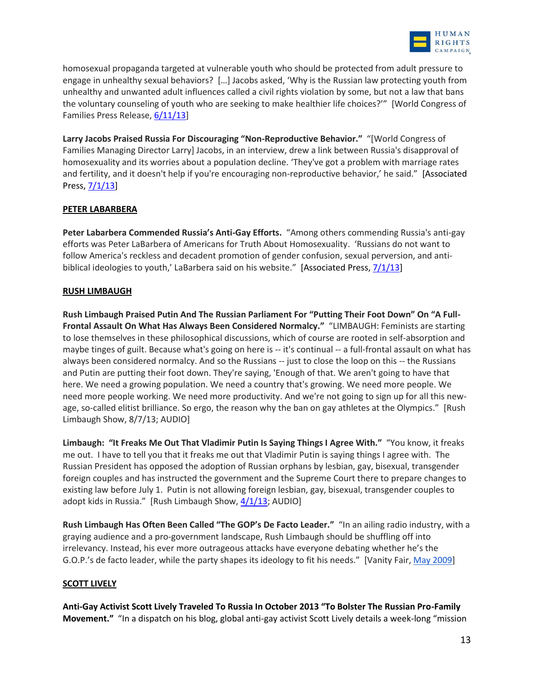

homosexual propaganda targeted at vulnerable youth who should be protected from adult pressure to engage in unhealthy sexual behaviors? […] Jacobs asked, 'Why is the Russian law protecting youth from unhealthy and unwanted adult influences called a civil rights violation by some, but not a law that bans the voluntary counseling of youth who are seeking to make healthier life choices?'" [World Congress of Families Press Release[, 6/11/13\]](http://americansfortruth.com/2013/06/14/world-congress-of-families-endorses-russian-bill-banning-homosexual-propaganda-to-minors/)

**Larry Jacobs Praised Russia For Discouraging "Non-Reproductive Behavior."** "[World Congress of Families Managing Director Larry] Jacobs, in an interview, drew a link between Russia's disapproval of homosexuality and its worries about a population decline. 'They've got a problem with marriage rates and fertility, and it doesn't help if you're encouraging non-reproductive behavior,' he said." [Associated Press, [7/1/13\]](http://www.huffingtonpost.com/2013/07/01/russia-anti-gay-bill_n_3530050.html)

## **PETER LABARBERA**

**Peter Labarbera Commended Russia's Anti-Gay Efforts.** "Among others commending Russia's anti-gay efforts was Peter LaBarbera of Americans for Truth About Homosexuality. 'Russians do not want to follow America's reckless and decadent promotion of gender confusion, sexual perversion, and antibiblical ideologies to youth,' LaBarbera said on his website." [Associated Press,  $7/1/13$ ]

## **RUSH LIMBAUGH**

**Rush Limbaugh Praised Putin And The Russian Parliament For "Putting Their Foot Down" On "A Full-Frontal Assault On What Has Always Been Considered Normalcy."** "LIMBAUGH: Feminists are starting to lose themselves in these philosophical discussions, which of course are rooted in self-absorption and maybe tinges of guilt. Because what's going on here is -- it's continual -- a full-frontal assault on what has always been considered normalcy. And so the Russians -- just to close the loop on this -- the Russians and Putin are putting their foot down. They're saying, 'Enough of that. We aren't going to have that here. We need a growing population. We need a country that's growing. We need more people. We need more people working. We need more productivity. And we're not going to sign up for all this newage, so-called elitist brilliance. So ergo, the reason why the ban on gay athletes at the Olympics." [Rush Limbaugh Show, 8/7/13; AUDIO]

**Limbaugh: "It Freaks Me Out That Vladimir Putin Is Saying Things I Agree With."** "You know, it freaks me out. I have to tell you that it freaks me out that Vladimir Putin is saying things I agree with. The Russian President has opposed the adoption of Russian orphans by lesbian, gay, bisexual, transgender foreign couples and has instructed the government and the Supreme Court there to prepare changes to existing law before July 1. Putin is not allowing foreign lesbian, gay, bisexual, transgender couples to adopt kids in Russia." [Rush Limbaugh Show,  $4/1/13$ ; AUDIO]

**Rush Limbaugh Has Often Been Called "The GOP's De Facto Leader."** "In an ailing radio industry, with a graying audience and a pro-government landscape, Rush Limbaugh should be shuffling off into irrelevancy. Instead, his ever more outrageous attacks have everyone debating whether he's the G.O.P.'s de facto leader, while the party shapes its ideology to fit his needs." [Vanity Fair, [May 2009\]](http://www.vanityfair.com/politics/features/2009/05/rush-limbaugh200905)

# **SCOTT LIVELY**

**Anti-Gay Activist Scott Lively Traveled To Russia In October 2013 "To Bolster The Russian Pro-Family Movement."** "In a dispatch on his blog, global anti-gay activist Scott Lively details a week-long "mission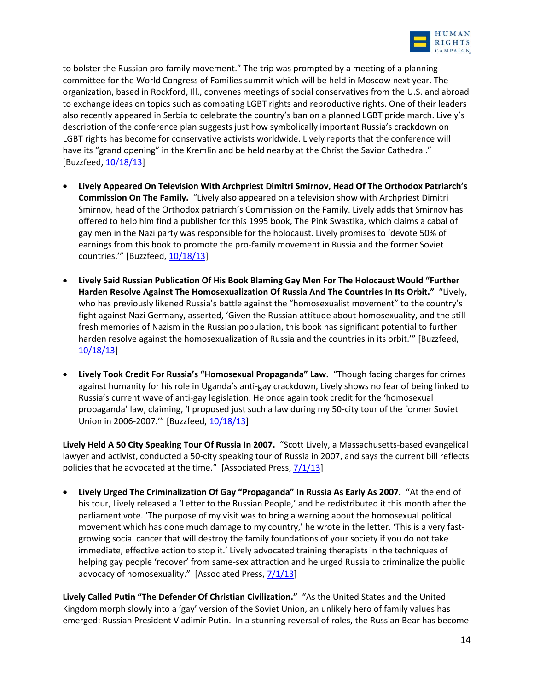

to bolster the Russian pro-family movement." The trip was prompted by a meeting of a planning committee for the World Congress of Families summit which will be held in Moscow next year. The organization, based in Rockford, Ill., convenes meetings of social conservatives from the U.S. and abroad to exchange ideas on topics such as combating LGBT rights and reproductive rights. One of their leaders also recently appeared in Serbia to celebrate the country's ban on a planned LGBT pride march. Lively's description of the conference plan suggests just how symbolically important Russia's crackdown on LGBT rights has become for conservative activists worldwide. Lively reports that the conference will have its "grand opening" in the Kremlin and be held nearby at the Christ the Savior Cathedral." [Buzzfeed, [10/18/13\]](http://www.buzzfeed.com/lesterfeder/global-anti-gay-crusader-scott-lively-returns-to-russia)

- **Lively Appeared On Television With Archpriest Dimitri Smirnov, Head Of The Orthodox Patriarch's Commission On The Family.** "Lively also appeared on a television show with Archpriest Dimitri Smirnov, head of the Orthodox patriarch's Commission on the Family. Lively adds that Smirnov has offered to help him find a publisher for this 1995 book, The Pink Swastika, which claims a cabal of gay men in the Nazi party was responsible for the holocaust. Lively promises to 'devote 50% of earnings from this book to promote the pro-family movement in Russia and the former Soviet countries."" [Buzzfeed, [10/18/13\]](http://www.buzzfeed.com/lesterfeder/global-anti-gay-crusader-scott-lively-returns-to-russia)
- **Lively Said Russian Publication Of His Book Blaming Gay Men For The Holocaust Would "Further Harden Resolve Against The Homosexualization Of Russia And The Countries In Its Orbit."** "Lively, who has previously likened Russia's battle against the "homosexualist movement" to the country's fight against Nazi Germany, asserted, 'Given the Russian attitude about homosexuality, and the stillfresh memories of Nazism in the Russian population, this book has significant potential to further harden resolve against the homosexualization of Russia and the countries in its orbit.'" [Buzzfeed, [10/18/13\]](http://www.buzzfeed.com/lesterfeder/global-anti-gay-crusader-scott-lively-returns-to-russia)
- **Lively Took Credit For Russia's "Homosexual Propaganda" Law.** "Though facing charges for crimes against humanity for his role in Uganda's anti-gay crackdown, Lively shows no fear of being linked to Russia's current wave of anti-gay legislation. He once again took credit for the 'homosexual propaganda' law, claiming, 'I proposed just such a law during my 50-city tour of the former Soviet Union in 2006-2007." [Buzzfeed, [10/18/13\]](http://www.buzzfeed.com/lesterfeder/global-anti-gay-crusader-scott-lively-returns-to-russia)

**Lively Held A 50 City Speaking Tour Of Russia In 2007.** "Scott Lively, a Massachusetts-based evangelical lawyer and activist, conducted a 50-city speaking tour of Russia in 2007, and says the current bill reflects policies that he advocated at the time." [Associated Press,  $7/1/13$ ]

 **Lively Urged The Criminalization Of Gay "Propaganda" In Russia As Early As 2007.** "At the end of his tour, Lively released a 'Letter to the Russian People,' and he redistributed it this month after the parliament vote. 'The purpose of my visit was to bring a warning about the homosexual political movement which has done much damage to my country,' he wrote in the letter. 'This is a very fastgrowing social cancer that will destroy the family foundations of your society if you do not take immediate, effective action to stop it.' Lively advocated training therapists in the techniques of helping gay people 'recover' from same-sex attraction and he urged Russia to criminalize the public advocacy of homosexuality." [Associated Press,  $7/1/13$ ]

**Lively Called Putin "The Defender Of Christian Civilization."** "As the United States and the United Kingdom morph slowly into a 'gay' version of the Soviet Union, an unlikely hero of family values has emerged: Russian President Vladimir Putin. In a stunning reversal of roles, the Russian Bear has become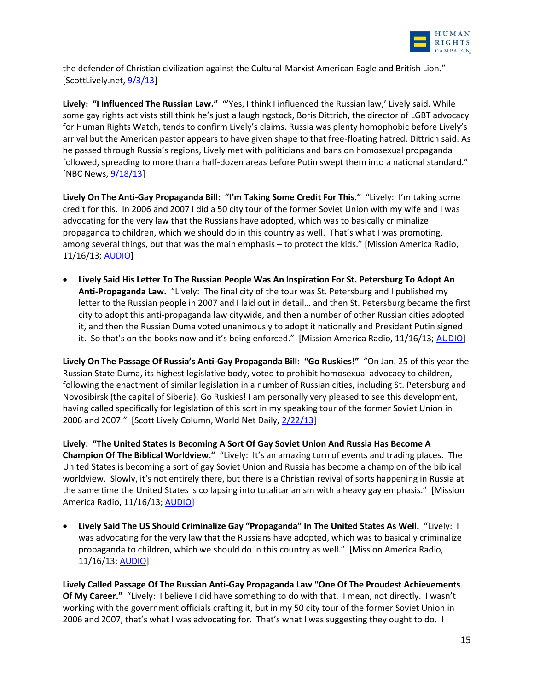

the defender of Christian civilization against the Cultural-Marxist American Eagle and British Lion." [ScottLively.net,  $9/3/13$ ]

**Lively: "I Influenced The Russian Law."** "'Yes, I think I influenced the Russian law,' Lively said. While some gay rights activists still think he's just a laughingstock, Boris Dittrich, the director of LGBT advocacy for Human Rights Watch, tends to confirm Lively's claims. Russia was plenty homophobic before Lively's arrival but the American pastor appears to have given shape to that free-floating hatred, Dittrich said. As he passed through Russia's regions, Lively met with politicians and bans on homosexual propaganda followed, spreading to more than a half-dozen areas before Putin swept them into a national standard." [NBC News, [9/18/13\]](http://usnews.nbcnews.com/_news/2013/09/18/20546485-the-rainbow-belongs-to-god-anti-gay-us-pastor-sets-sights-on-sochi-olympics)

**Lively On The Anti-Gay Propaganda Bill: "I'm Taking Some Credit For This."** "Lively: I'm taking some credit for this. In 2006 and 2007 I did a 50 city tour of the former Soviet Union with my wife and I was advocating for the very law that the Russians have adopted, which was to basically criminalize propaganda to children, which we should do in this country as well. That's what I was promoting, among several things, but that was the main emphasis – to protect the kids." [Mission America Radio, 11/16/13; [AUDIO\]](http://www.rightwingwatch.org/content/lively-gay-people-behind-anti-gay-violence-russia)

 **Lively Said His Letter To The Russian People Was An Inspiration For St. Petersburg To Adopt An Anti-Propaganda Law.** "Lively: The final city of the tour was St. Petersburg and I published my letter to the Russian people in 2007 and I laid out in detail… and then St. Petersburg became the first city to adopt this anti-propaganda law citywide, and then a number of other Russian cities adopted it, and then the Russian Duma voted unanimously to adopt it nationally and President Putin signed it. So that's on the books now and it's being enforced." [Mission America Radio, 11/16/13; [AUDIO\]](http://www.rightwingwatch.org/content/lively-gay-people-behind-anti-gay-violence-russia)

**Lively On The Passage Of Russia's Anti-Gay Propaganda Bill: "Go Ruskies!"** "On Jan. 25 of this year the Russian State Duma, its highest legislative body, voted to prohibit homosexual advocacy to children, following the enactment of similar legislation in a number of Russian cities, including St. Petersburg and Novosibirsk (the capital of Siberia). Go Ruskies! I am personally very pleased to see this development, having called specifically for legislation of this sort in my speaking tour of the former Soviet Union in 2006 and 2007." [Scott Lively Column, World Net Daily, [2/22/13\]](http://www.wnd.com/2013/02/the-key-to-pro-family-victory-if-we-really-want-it/)

**Lively: "The United States Is Becoming A Sort Of Gay Soviet Union And Russia Has Become A Champion Of The Biblical Worldview."** "Lively: It's an amazing turn of events and trading places. The United States is becoming a sort of gay Soviet Union and Russia has become a champion of the biblical worldview. Slowly, it's not entirely there, but there is a Christian revival of sorts happening in Russia at the same time the United States is collapsing into totalitarianism with a heavy gay emphasis." [Mission America Radio, 11/16/13; [AUDIO\]](http://www.rightwingwatch.org/content/lively-gay-people-behind-anti-gay-violence-russia)

 **Lively Said The US Should Criminalize Gay "Propaganda" In The United States As Well.** "Lively: I was advocating for the very law that the Russians have adopted, which was to basically criminalize propaganda to children, which we should do in this country as well." [Mission America Radio, 11/16/13; [AUDIO\]](http://www.rightwingwatch.org/content/lively-gay-people-behind-anti-gay-violence-russia)

**Lively Called Passage Of The Russian Anti-Gay Propaganda Law "One Of The Proudest Achievements Of My Career."** "Lively: I believe I did have something to do with that. I mean, not directly. I wasn't working with the government officials crafting it, but in my 50 city tour of the former Soviet Union in 2006 and 2007, that's what I was advocating for. That's what I was suggesting they ought to do. I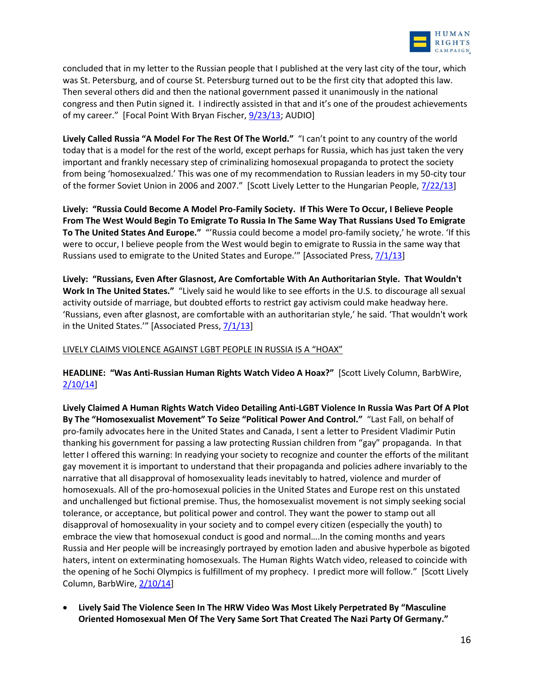

concluded that in my letter to the Russian people that I published at the very last city of the tour, which was St. Petersburg, and of course St. Petersburg turned out to be the first city that adopted this law. Then several others did and then the national government passed it unanimously in the national congress and then Putin signed it. I indirectly assisted in that and it's one of the proudest achievements of my career." [Focal Point With Bryan Fischer, [9/23/13;](http://www.youtube.com/watch?v=EiateDgcxKU#t=18) AUDIO]

**Lively Called Russia "A Model For The Rest Of The World."** "I can't point to any country of the world today that is a model for the rest of the world, except perhaps for Russia, which has just taken the very important and frankly necessary step of criminalizing homosexual propaganda to protect the society from being 'homosexualzed.' This was one of my recommendation to Russian leaders in my 50-city tour of the former Soviet Union in 2006 and 2007." [Scott Lively Letter to the Hungarian People, [7/22/13\]](http://www.scottlively.net/2013/07/22/my-letter-to-the-hungarian-people/)

**Lively: "Russia Could Become A Model Pro-Family Society. If This Were To Occur, I Believe People From The West Would Begin To Emigrate To Russia In The Same Way That Russians Used To Emigrate To The United States And Europe."** "'Russia could become a model pro-family society,' he wrote. 'If this were to occur, I believe people from the West would begin to emigrate to Russia in the same way that Russians used to emigrate to the United States and Europe." [Associated Press,  $7/1/13$ ]

**Lively: "Russians, Even After Glasnost, Are Comfortable With An Authoritarian Style. That Wouldn't Work In The United States."** "Lively said he would like to see efforts in the U.S. to discourage all sexual activity outside of marriage, but doubted efforts to restrict gay activism could make headway here. 'Russians, even after glasnost, are comfortable with an authoritarian style,' he said. 'That wouldn't work in the United States.'" [Associated Press,  $7/1/13$ ]

LIVELY CLAIMS VIOLENCE AGAINST LGBT PEOPLE IN RUSSIA IS A "HOAX"

**HEADLINE: "Was Anti-Russian Human Rights Watch Video A Hoax?"** [Scott Lively Column, BarbWire, [2/10/14\]](http://barbwire.com/2014/02/10/anti-russian-human-rights-watch-video-hoax/)

**Lively Claimed A Human Rights Watch Video Detailing Anti-LGBT Violence In Russia Was Part Of A Plot By The "Homosexualist Movement" To Seize "Political Power And Control."** "Last Fall, on behalf of pro-family advocates here in the United States and Canada, I sent a letter to President Vladimir Putin thanking his government for passing a law protecting Russian children from "gay" propaganda. In that letter I offered this warning: In readying your society to recognize and counter the efforts of the militant gay movement it is important to understand that their propaganda and policies adhere invariably to the narrative that all disapproval of homosexuality leads inevitably to hatred, violence and murder of homosexuals. All of the pro-homosexual policies in the United States and Europe rest on this unstated and unchallenged but fictional premise. Thus, the homosexualist movement is not simply seeking social tolerance, or acceptance, but political power and control. They want the power to stamp out all disapproval of homosexuality in your society and to compel every citizen (especially the youth) to embrace the view that homosexual conduct is good and normal….In the coming months and years Russia and Her people will be increasingly portrayed by emotion laden and abusive hyperbole as bigoted haters, intent on exterminating homosexuals. The Human Rights Watch video, released to coincide with the opening of he Sochi Olympics is fulfillment of my prophecy. I predict more will follow." [Scott Lively Column, BarbWire[, 2/10/14\]](http://barbwire.com/2014/02/10/anti-russian-human-rights-watch-video-hoax/)

 **Lively Said The Violence Seen In The HRW Video Was Most Likely Perpetrated By "Masculine Oriented Homosexual Men Of The Very Same Sort That Created The Nazi Party Of Germany."**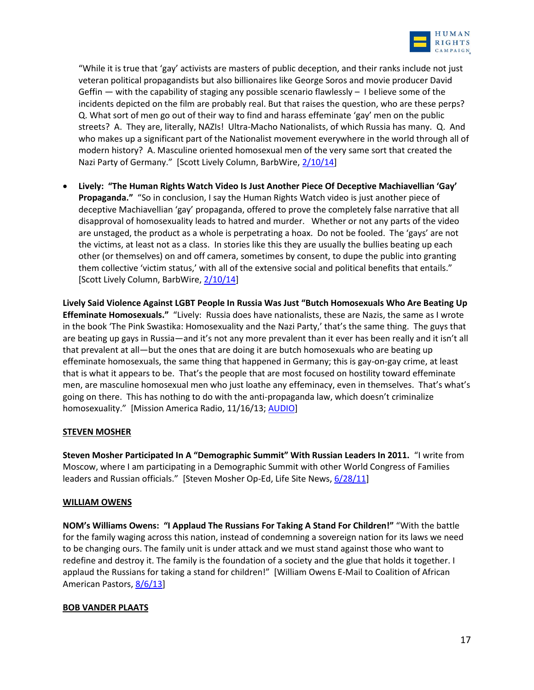

"While it is true that 'gay' activists are masters of public deception, and their ranks include not just veteran political propagandists but also billionaires like George Soros and movie producer David Geffin — with the capability of staging any possible scenario flawlessly – I believe some of the incidents depicted on the film are probably real. But that raises the question, who are these perps? Q. What sort of men go out of their way to find and harass effeminate 'gay' men on the public streets? A. They are, literally, NAZIs! Ultra-Macho Nationalists, of which Russia has many. Q. And who makes up a significant part of the Nationalist movement everywhere in the world through all of modern history? A. Masculine oriented homosexual men of the very same sort that created the Nazi Party of Germany." [Scott Lively Column, BarbWire, [2/10/14\]](http://barbwire.com/2014/02/10/anti-russian-human-rights-watch-video-hoax/)

 **Lively: "The Human Rights Watch Video Is Just Another Piece Of Deceptive Machiavellian 'Gay' Propaganda."** "So in conclusion, I say the Human Rights Watch video is just another piece of deceptive Machiavellian 'gay' propaganda, offered to prove the completely false narrative that all disapproval of homosexuality leads to hatred and murder. Whether or not any parts of the video are unstaged, the product as a whole is perpetrating a hoax. Do not be fooled. The 'gays' are not the victims, at least not as a class. In stories like this they are usually the bullies beating up each other (or themselves) on and off camera, sometimes by consent, to dupe the public into granting them collective 'victim status,' with all of the extensive social and political benefits that entails." [Scott Lively Column, BarbWire, [2/10/14\]](http://barbwire.com/2014/02/10/anti-russian-human-rights-watch-video-hoax/)

**Lively Said Violence Against LGBT People In Russia Was Just "Butch Homosexuals Who Are Beating Up Effeminate Homosexuals."** "Lively: Russia does have nationalists, these are Nazis, the same as I wrote in the book 'The Pink Swastika: Homosexuality and the Nazi Party,' that's the same thing. The guys that are beating up gays in Russia—and it's not any more prevalent than it ever has been really and it isn't all that prevalent at all—but the ones that are doing it are butch homosexuals who are beating up effeminate homosexuals, the same thing that happened in Germany; this is gay-on-gay crime, at least that is what it appears to be. That's the people that are most focused on hostility toward effeminate men, are masculine homosexual men who just loathe any effeminacy, even in themselves. That's what's going on there. This has nothing to do with the anti-propaganda law, which doesn't criminalize homosexuality." [Mission America Radio, 11/16/13; [AUDIO\]](http://www.rightwingwatch.org/content/lively-gay-people-behind-anti-gay-violence-russia)

### **STEVEN MOSHER**

**Steven Mosher Participated In A "Demographic Summit" With Russian Leaders In 2011.** "I write from Moscow, where I am participating in a Demographic Summit with other World Congress of Families leaders and Russian officials." [Steven Mosher Op-Ed, Life Site News[, 6/28/11\]](http://www.lifesitenews.com/news/how-to-create-a-baby-boom-in-russia)

#### **WILLIAM OWENS**

**NOM's Williams Owens: "I Applaud The Russians For Taking A Stand For Children!"** "With the battle for the family waging across this nation, instead of condemning a sovereign nation for its laws we need to be changing ours. The family unit is under attack and we must stand against those who want to redefine and destroy it. The family is the foundation of a society and the glue that holds it together. I applaud the Russians for taking a stand for children!" [William Owens E-Mail to Coalition of African American Pastors, [8/6/13\]](http://christiangunslinger5.blogspot.com/2013/08/coalition-of-african-american-pastors.html)

#### **BOB VANDER PLAATS**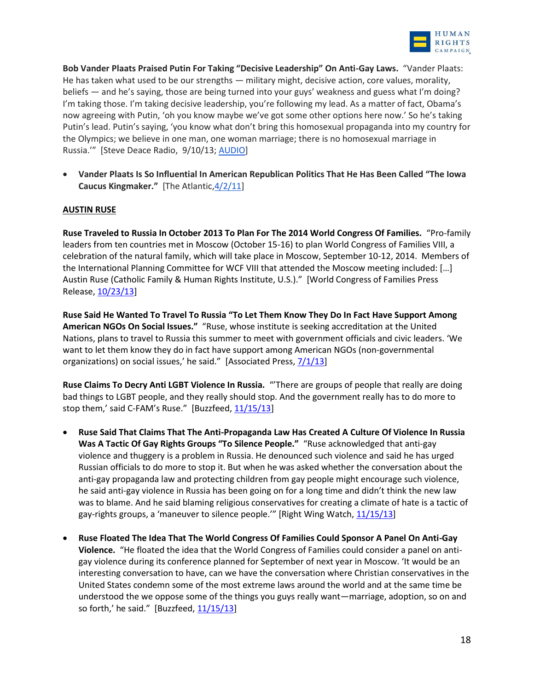

**Bob Vander Plaats Praised Putin For Taking "Decisive Leadership" On Anti-Gay Laws.** "Vander Plaats: He has taken what used to be our strengths — military might, decisive action, core values, morality, beliefs — and he's saying, those are being turned into your guys' weakness and guess what I'm doing? I'm taking those. I'm taking decisive leadership, you're following my lead. As a matter of fact, Obama's now agreeing with Putin, 'oh you know maybe we've got some other options here now.' So he's taking Putin's lead. Putin's saying, 'you know what don't bring this homosexual propaganda into my country for the Olympics; we believe in one man, one woman marriage; there is no homosexual marriage in Russia.'" [Steve Deace Radio, 9/10/13; [AUDIO\]](http://www.rightwingwatch.org/content/bob-vander-plaats-praises-russia-s-ban-pro-gay-rights-speech)

 **Vander Plaats Is So Influential In American Republican Politics That He Has Been Called "The Iowa Caucus Kingmaker."** [The Atlantic, 4/2/11]

### **AUSTIN RUSE**

**Ruse Traveled to Russia In October 2013 To Plan For The 2014 World Congress Of Families.** "Pro-family leaders from ten countries met in Moscow (October 15-16) to plan World Congress of Families VIII, a celebration of the natural family, which will take place in Moscow, September 10-12, 2014. Members of the International Planning Committee for WCF VIII that attended the Moscow meeting included: […] Austin Ruse (Catholic Family & Human Rights Institute, U.S.)." [World Congress of Families Press Release[, 10/23/13\]](http://us2.campaign-archive2.com/?u=71b5ff0a93830214b96a42bf6&id=506aaa3795&e=594c6f534a)

**Ruse Said He Wanted To Travel To Russia "To Let Them Know They Do In Fact Have Support Among American NGOs On Social Issues."** "Ruse, whose institute is seeking accreditation at the United Nations, plans to travel to Russia this summer to meet with government officials and civic leaders. 'We want to let them know they do in fact have support among American NGOs (non-governmental organizations) on social issues,' he said." [Associated Press,  $7/1/13$ ]

**Ruse Claims To Decry Anti LGBT Violence In Russia.** "'There are groups of people that really are doing bad things to LGBT people, and they really should stop. And the government really has to do more to stop them,' said C-FAM's Ruse." [Buzzfeed, [11/15/13\]](http://www.buzzfeed.com/lesterfeder/developments-in-russia-and-other-nations-should-inspire-us-c)

- **Ruse Said That Claims That The Anti-Propaganda Law Has Created A Culture Of Violence In Russia Was A Tactic Of Gay Rights Groups "To Silence People."** "Ruse acknowledged that anti-gay violence and thuggery is a problem in Russia. He denounced such violence and said he has urged Russian officials to do more to stop it. But when he was asked whether the conversation about the anti-gay propaganda law and protecting children from gay people might encourage such violence, he said anti-gay violence in Russia has been going on for a long time and didn't think the new law was to blame. And he said blaming religious conservatives for creating a climate of hate is a tactic of gay-rights groups, a 'maneuver to silence people.'" [Right Wing Watch, [11/15/13\]](http://www.rightwingwatch.org/content/religious-right-leaders-defend-russia-s-anti-gay-law)
- **Ruse Floated The Idea That The World Congress Of Families Could Sponsor A Panel On Anti-Gay Violence.** "He floated the idea that the World Congress of Families could consider a panel on antigay violence during its conference planned for September of next year in Moscow. 'It would be an interesting conversation to have, can we have the conversation where Christian conservatives in the United States condemn some of the most extreme laws around the world and at the same time be understood the we oppose some of the things you guys really want—marriage, adoption, so on and so forth,' he said." [Buzzfeed,  $11/15/13$ ]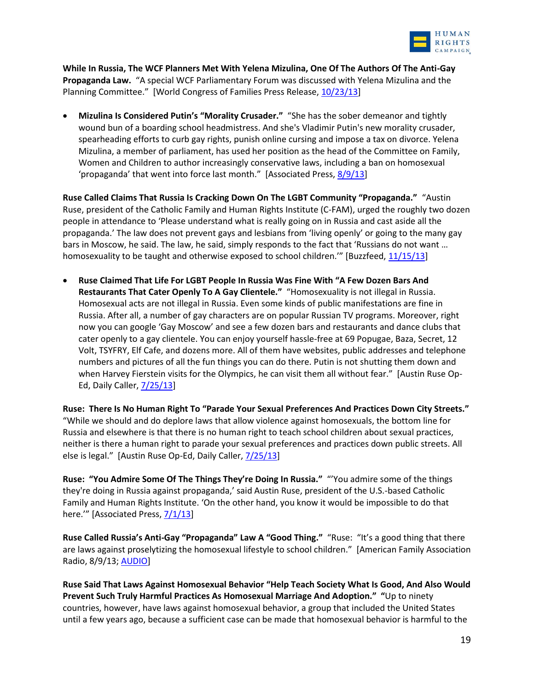

**While In Russia, The WCF Planners Met With Yelena Mizulina, One Of The Authors Of The Anti-Gay Propaganda Law.** "A special WCF Parliamentary Forum was discussed with Yelena Mizulina and the Planning Committee." [World Congress of Families Press Release, [10/23/13\]](http://us2.campaign-archive2.com/?u=71b5ff0a93830214b96a42bf6&id=506aaa3795&e=594c6f534a)

 **Mizulina Is Considered Putin's "Morality Crusader."** "She has the sober demeanor and tightly wound bun of a boarding school headmistress. And she's Vladimir Putin's new morality crusader, spearheading efforts to curb gay rights, punish online cursing and impose a tax on divorce. Yelena Mizulina, a member of parliament, has used her position as the head of the Committee on Family, Women and Children to author increasingly conservative laws, including a ban on homosexual 'propaganda' that went into force last month." [Associated Press, [8/9/13\]](http://bigstory.ap.org/article/russian-lawmaker-putins-conservative-champion)

**Ruse Called Claims That Russia Is Cracking Down On The LGBT Community "Propaganda."** "Austin Ruse, president of the Catholic Family and Human Rights Institute (C-FAM), urged the roughly two dozen people in attendance to 'Please understand what is really going on in Russia and cast aside all the propaganda.' The law does not prevent gays and lesbians from 'living openly' or going to the many gay bars in Moscow, he said. The law, he said, simply responds to the fact that 'Russians do not want … homosexuality to be taught and otherwise exposed to school children." [Buzzfeed, [11/15/13\]](http://www.buzzfeed.com/lesterfeder/developments-in-russia-and-other-nations-should-inspire-us-c)

 **Ruse Claimed That Life For LGBT People In Russia Was Fine With "A Few Dozen Bars And Restaurants That Cater Openly To A Gay Clientele."** "Homosexuality is not illegal in Russia. Homosexual acts are not illegal in Russia. Even some kinds of public manifestations are fine in Russia. After all, a number of gay characters are on popular Russian TV programs. Moreover, right now you can google 'Gay Moscow' and see a few dozen bars and restaurants and dance clubs that cater openly to a gay clientele. You can enjoy yourself hassle-free at 69 Popugae, Baza, Secret, 12 Volt, TSYFRY, Elf Cafe, and dozens more. All of them have websites, public addresses and telephone numbers and pictures of all the fun things you can do there. Putin is not shutting them down and when Harvey Fierstein visits for the Olympics, he can visit them all without fear." [Austin Ruse Op-Ed, Daily Caller[, 7/25/13\]](http://dailycaller.com/2013/07/25/putin-is-not-the-gay-bogeyman/2/)

**Ruse: There Is No Human Right To "Parade Your Sexual Preferences And Practices Down City Streets."**  "While we should and do deplore laws that allow violence against homosexuals, the bottom line for Russia and elsewhere is that there is no human right to teach school children about sexual practices, neither is there a human right to parade your sexual preferences and practices down public streets. All else is legal." [Austin Ruse Op-Ed, Daily Caller, [7/25/13\]](http://dailycaller.com/2013/07/25/putin-is-not-the-gay-bogeyman/2/)

**Ruse: "You Admire Some Of The Things They're Doing In Russia."** "'You admire some of the things they're doing in Russia against propaganda,' said Austin Ruse, president of the U.S.-based Catholic Family and Human Rights Institute. 'On the other hand, you know it would be impossible to do that here."" [Associated Press, [7/1/13\]](http://www.huffingtonpost.com/2013/07/01/russia-anti-gay-bill_n_3530050.html)

**Ruse Called Russia's Anti-Gay "Propaganda" Law A "Good Thing."** "Ruse: "It's a good thing that there are laws against proselytizing the homosexual lifestyle to school children." [American Family Association Radio, 8/9/13; [AUDIO\]](http://www.rightwingwatch.org/content/ruse-most-people-united-states-would-agree-russias-anti-gay-law)

**Ruse Said That Laws Against Homosexual Behavior "Help Teach Society What Is Good, And Also Would Prevent Such Truly Harmful Practices As Homosexual Marriage And Adoption." "**Up to ninety countries, however, have laws against homosexual behavior, a group that included the United States until a few years ago, because a sufficient case can be made that homosexual behavior is harmful to the